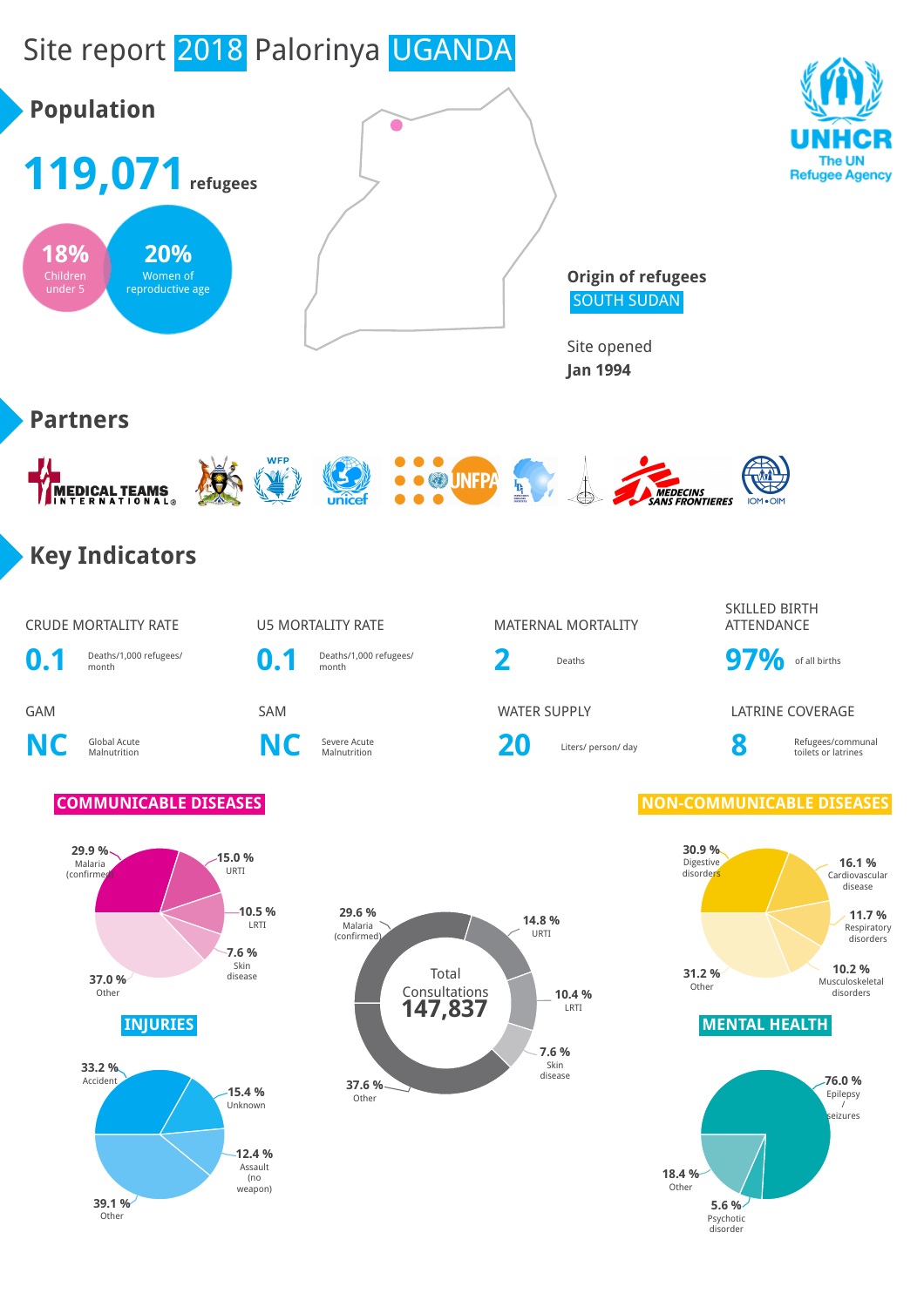# Site report 2018 Palorinya UGANDA



**5.6 %** Psychotic disorder

**Other** 

**39.1 %**

weapon)

Other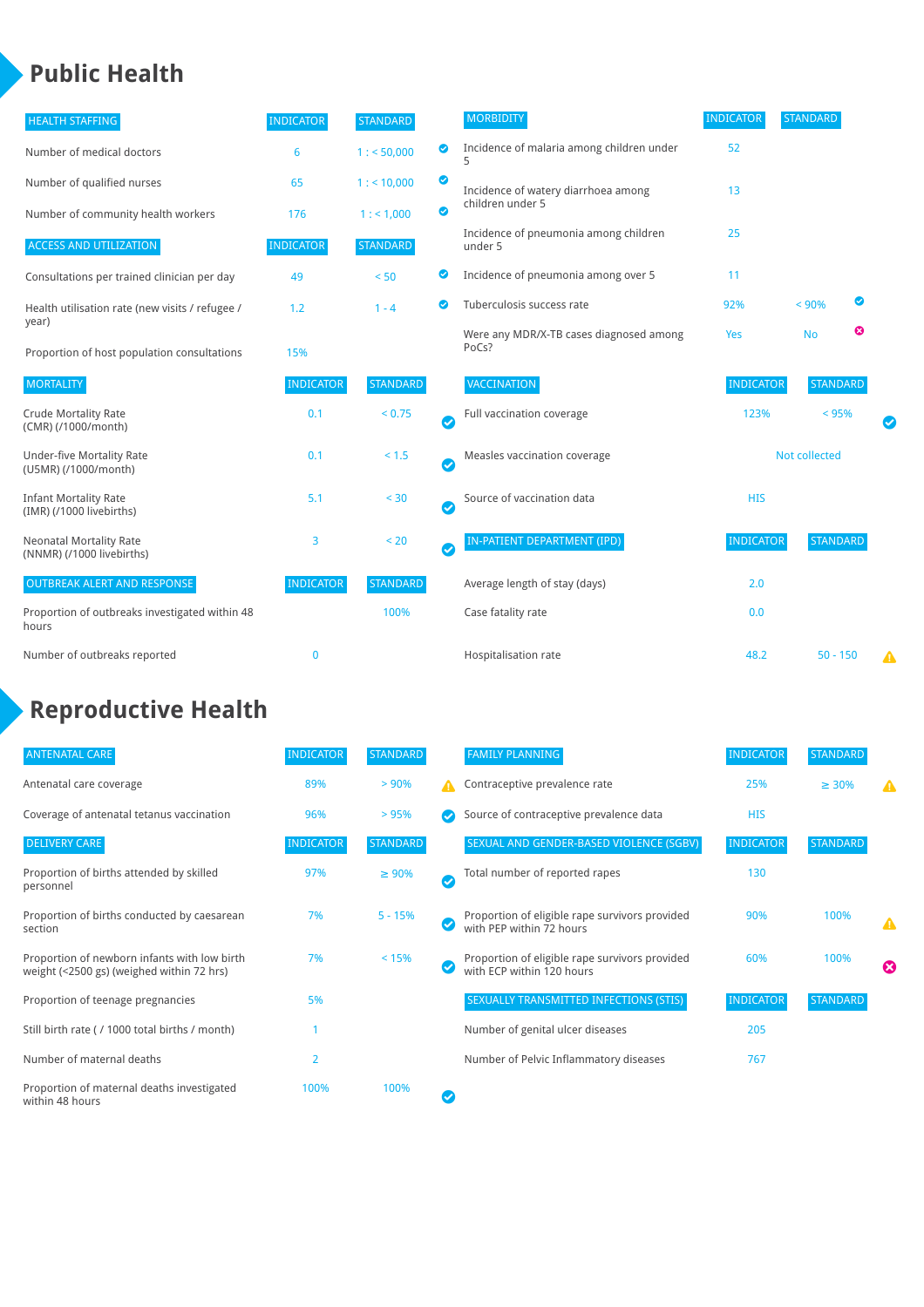### **Public Health**

| <b>HEALTH STAFFING</b>                                      | <b>INDICATOR</b> | <b>STANDARD</b> |                       | <b>MORBIDITY</b>                                 | <b>INDICATOR</b> | <b>STANDARD</b> |   |   |
|-------------------------------------------------------------|------------------|-----------------|-----------------------|--------------------------------------------------|------------------|-----------------|---|---|
| Number of medical doctors                                   | 6                | 1: 50,000       | ◉                     | Incidence of malaria among children under<br>5   | 52               |                 |   |   |
| Number of qualified nurses                                  | 65               | 1:10,000        | ◙                     | Incidence of watery diarrhoea among              | 13               |                 |   |   |
| Number of community health workers                          | 176              | 1: 1,000        | ◙                     | children under 5                                 |                  |                 |   |   |
| <b>ACCESS AND UTILIZATION</b>                               | <b>INDICATOR</b> | <b>STANDARD</b> |                       | Incidence of pneumonia among children<br>under 5 | 25               |                 |   |   |
| Consultations per trained clinician per day                 | 49               | < 50            | ◙                     | Incidence of pneumonia among over 5              | 11               |                 |   |   |
| Health utilisation rate (new visits / refugee /             | 1.2              | $1 - 4$         | $\bullet$             | Tuberculosis success rate                        | 92%              | < 90%           | ◙ |   |
| year)<br>Proportion of host population consultations        | 15%              |                 |                       | Were any MDR/X-TB cases diagnosed among<br>PoCs? | Yes              | <b>No</b>       | ☺ |   |
| <b>MORTALITY</b>                                            | <b>INDICATOR</b> | <b>STANDARD</b> |                       | <b>VACCINATION</b>                               | <b>INDICATOR</b> | <b>STANDARD</b> |   |   |
| <b>Crude Mortality Rate</b><br>(CMR) (/1000/month)          | 0.1              | < 0.75          | $\bullet$             | Full vaccination coverage                        | 123%<br>< 95%    |                 |   |   |
| <b>Under-five Mortality Rate</b><br>(U5MR) (/1000/month)    | 0.1              | < 1.5           | Ø                     | Measles vaccination coverage                     | Not collected    |                 |   |   |
| <b>Infant Mortality Rate</b><br>(IMR) (/1000 livebirths)    | 5.1              | < 30            | $\boldsymbol{\omega}$ | Source of vaccination data                       | <b>HIS</b>       |                 |   |   |
| <b>Neonatal Mortality Rate</b><br>(NNMR) (/1000 livebirths) | 3                | < 20            | $\bullet$             | <b>IN-PATIENT DEPARTMENT (IPD)</b>               | <b>INDICATOR</b> | <b>STANDARD</b> |   |   |
| <b>OUTBREAK ALERT AND RESPONSE</b>                          | <b>INDICATOR</b> | <b>STANDARD</b> |                       | Average length of stay (days)                    | 2.0              |                 |   |   |
| Proportion of outbreaks investigated within 48<br>hours     |                  | 100%            |                       | Case fatality rate                               | 0.0              |                 |   |   |
| Number of outbreaks reported                                | $\mathbf 0$      |                 |                       | Hospitalisation rate                             | 48.2             | $50 - 150$      |   | A |

## **Reproductive Health**

| <b>ANTENATAL CARE</b>                                                                     | <b>INDICATOR</b> | <b>STANDARD</b> |              | <b>FAMILY PLANNING</b>                                                      | <b>INDICATOR</b> | <b>STANDARD</b> |   |
|-------------------------------------------------------------------------------------------|------------------|-----------------|--------------|-----------------------------------------------------------------------------|------------------|-----------------|---|
| Antenatal care coverage                                                                   | 89%              | > 90%           | А            | Contraceptive prevalence rate                                               | 25%              | $\geq 30\%$     |   |
| Coverage of antenatal tetanus vaccination                                                 | 96%              | >95%            |              | Source of contraceptive prevalence data                                     | <b>HIS</b>       |                 |   |
| <b>DELIVERY CARE</b>                                                                      | <b>INDICATOR</b> | <b>STANDARD</b> |              | SEXUAL AND GENDER-BASED VIOLENCE (SGBV)                                     | <b>INDICATOR</b> | <b>STANDARD</b> |   |
| Proportion of births attended by skilled<br>personnel                                     | 97%              | $\geq 90\%$     | $\checkmark$ | Total number of reported rapes                                              | 130              |                 |   |
| Proportion of births conducted by caesarean<br>section                                    | 7%               | $5 - 15%$       |              | Proportion of eligible rape survivors provided<br>with PEP within 72 hours  | 90%              | 100%            | Δ |
| Proportion of newborn infants with low birth<br>weight (<2500 gs) (weighed within 72 hrs) | 7%               | < 15%           |              | Proportion of eligible rape survivors provided<br>with ECP within 120 hours | 60%              | 100%            | ☎ |
| Proportion of teenage pregnancies                                                         | 5%               |                 |              | SEXUALLY TRANSMITTED INFECTIONS (STIS)                                      | <b>INDICATOR</b> | <b>STANDARD</b> |   |
| Still birth rate (/ 1000 total births / month)                                            |                  |                 |              | Number of genital ulcer diseases                                            | 205              |                 |   |
| Number of maternal deaths                                                                 | 2                |                 |              | Number of Pelvic Inflammatory diseases                                      | 767              |                 |   |
| Proportion of maternal deaths investigated<br>within 48 hours                             | 100%             | 100%            |              |                                                                             |                  |                 |   |